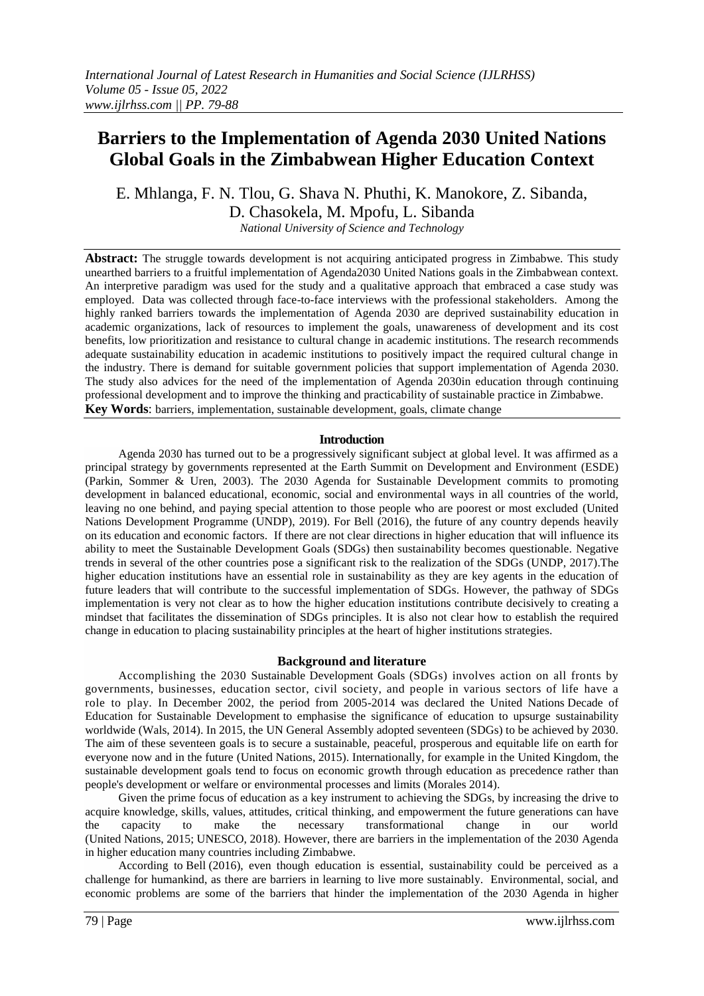# **Barriers to the Implementation of Agenda 2030 United Nations Global Goals in the Zimbabwean Higher Education Context**

E. Mhlanga, F. N. Tlou, G. Shava N. Phuthi, K. Manokore, Z. Sibanda, D. Chasokela, M. Mpofu, L. Sibanda

*National University of Science and Technology*

**Abstract:** The struggle towards development is not acquiring anticipated progress in Zimbabwe. This study unearthed barriers to a fruitful implementation of Agenda2030 United Nations goals in the Zimbabwean context. An interpretive paradigm was used for the study and a qualitative approach that embraced a case study was employed. Data was collected through face-to-face interviews with the professional stakeholders. Among the highly ranked barriers towards the implementation of Agenda 2030 are deprived sustainability education in academic organizations, lack of resources to implement the goals, unawareness of development and its cost benefits, low prioritization and resistance to cultural change in academic institutions. The research recommends adequate sustainability education in academic institutions to positively impact the required cultural change in the industry. There is demand for suitable government policies that support implementation of Agenda 2030. The study also advices for the need of the implementation of Agenda 2030in education through continuing professional development and to improve the thinking and practicability of sustainable practice in Zimbabwe. **Key Words**: barriers, implementation, sustainable development, goals, climate change

## **Introduction**

Agenda 2030 has turned out to be a progressively significant subject at global level. It was affirmed as a principal strategy by governments represented at the Earth Summit on Development and Environment (ESDE) (Parkin, Sommer & Uren, 2003). The 2030 Agenda for Sustainable Development commits to promoting development in balanced educational, economic, social and environmental ways in all countries of the world, leaving no one behind, and paying special attention to those people who are poorest or most excluded (United Nations Development Programme (UNDP), 2019). For Bell (2016), the future of any country depends heavily on its education and economic factors. If there are not clear directions in higher education that will influence its ability to meet the Sustainable Development Goals (SDGs) then sustainability becomes questionable. Negative trends in several of the other countries pose a significant risk to the realization of the SDGs (UNDP, 2017).The higher education institutions have an essential role in sustainability as they are key agents in the education of future leaders that will contribute to the successful implementation of SDGs. However, the pathway of SDGs implementation is very not clear as to how the higher education institutions contribute decisively to creating a mindset that facilitates the dissemination of SDGs principles. It is also not clear how to establish the required change in education to placing sustainability principles at the heart of higher institutions strategies.

### **Background and literature**

Accomplishing the 2030 Sustainable Development Goals (SDGs) involves action on all fronts by governments, businesses, education sector, civil society, and people in various sectors of life have a role to play. In December 2002, the period from 2005-2014 was declared the United Nations Decade of Education for Sustainable Development to emphasise the significance of education to upsurge sustainability worldwide (Wals, 2014). In 2015, the UN General Assembly adopted seventeen (SDGs) to be achieved by 2030. The aim of these seventeen goals is to secure a sustainable, peaceful, prosperous and equitable life on earth for everyone now and in the future (United Nations, 2015). Internationally, for example in the United Kingdom, the sustainable development goals tend to focus on economic growth through education as precedence rather than people's development or welfare or environmental processes and limits (Morales 2014).

Given the prime focus of education as a key instrument to achieving the SDGs, by increasing the drive to acquire knowledge, skills, values, attitudes, critical thinking, and empowerment the future generations can have the capacity to make the necessary transformational change in our world (United Nations, 2015; UNESCO, 2018). However, there are barriers in the implementation of the 2030 Agenda in higher education many countries including Zimbabwe.

According to Bell [\(2016\),](https://www.sciencedirect.com/science/article/pii/S2666683921000195#bib0005) even though education is essential, sustainability could be perceived as a challenge for humankind, as there are barriers in learning to live more sustainably. Environmental, social, and economic problems are some of the barriers that hinder the implementation of the 2030 Agenda in higher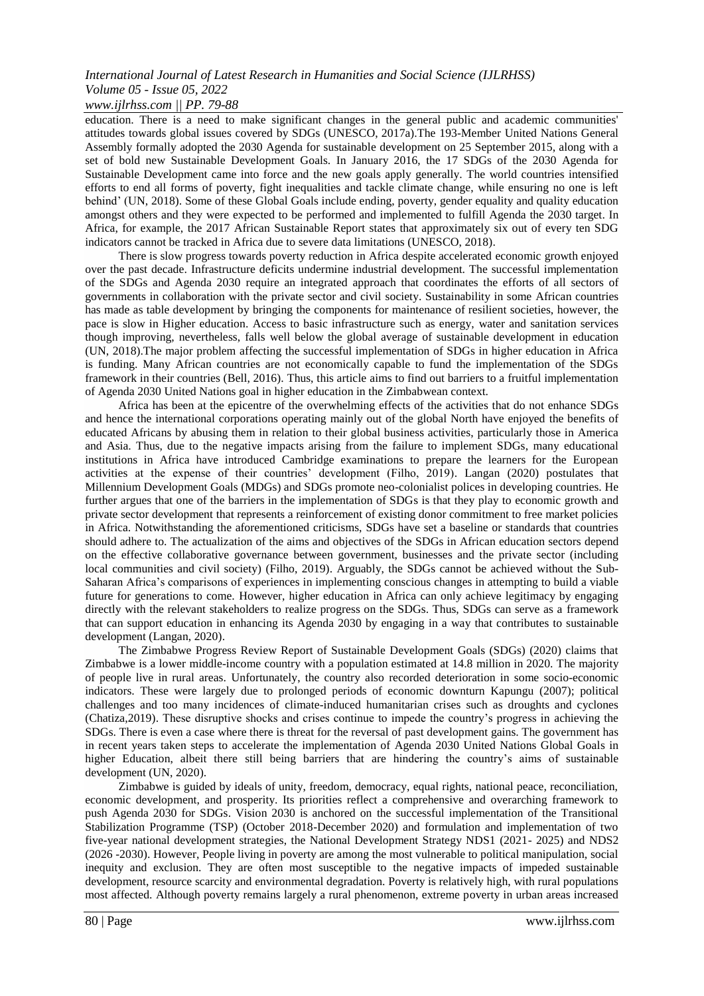## *www.ijlrhss.com || PP. 79-88*

education. There is a need to make significant changes in the general public and academic communities' attitudes towards global issues covered by SDGs (UNESCO, 2017a).The 193-Member United Nations General Assembly formally adopted the 2030 Agenda for sustainable development on 25 September 2015, along with a set of bold new Sustainable Development Goals. In January 2016, the 17 SDGs of the 2030 Agenda for Sustainable Development came into force and the new goals apply generally. The world countries intensified efforts to end all forms of poverty, fight inequalities and tackle climate change, while ensuring no one is left behind' (UN, 2018). Some of these Global Goals include ending, poverty, gender equality and quality education amongst others and they were expected to be performed and implemented to fulfill Agenda the 2030 target. In Africa, for example, the 2017 African Sustainable Report states that approximately six out of every ten SDG indicators cannot be tracked in Africa due to severe data limitations (UNESCO, 2018).

There is slow progress towards poverty reduction in Africa despite accelerated economic growth enjoyed over the past decade. Infrastructure deficits undermine industrial development. The successful implementation of the SDGs and Agenda 2030 require an integrated approach that coordinates the efforts of all sectors of governments in collaboration with the private sector and civil society. Sustainability in some African countries has made as table development by bringing the components for maintenance of resilient societies, however, the pace is slow in Higher education. Access to basic infrastructure such as energy, water and sanitation services though improving, nevertheless, falls well below the global average of sustainable development in education (UN, 2018).The major problem affecting the successful implementation of SDGs in higher education in Africa is funding. Many African countries are not economically capable to fund the implementation of the SDGs framework in their countries (Bell, 2016). Thus, this article aims to find out barriers to a fruitful implementation of Agenda 2030 United Nations goal in higher education in the Zimbabwean context.

Africa has been at the epicentre of the overwhelming effects of the activities that do not enhance SDGs and hence the international corporations operating mainly out of the global North have enjoyed the benefits of educated Africans by abusing them in relation to their global business activities, particularly those in America and Asia. Thus, due to the negative impacts arising from the failure to implement SDGs, many educational institutions in Africa have introduced Cambridge examinations to prepare the learners for the European activities at the expense of their countries' development (Filho, 2019). Langan (2020) postulates that Millennium Development Goals (MDGs) and SDGs promote neo-colonialist polices in developing countries. He further argues that one of the barriers in the implementation of SDGs is that they play to economic growth and private sector development that represents a reinforcement of existing donor commitment to free market policies in Africa. Notwithstanding the aforementioned criticisms, SDGs have set a baseline or standards that countries should adhere to. The actualization of the aims and objectives of the SDGs in African education sectors depend on the effective collaborative governance between government, businesses and the private sector (including local communities and civil society) (Filho, 2019). Arguably, the SDGs cannot be achieved without the Sub-Saharan Africa's comparisons of experiences in implementing conscious changes in attempting to build a viable future for generations to come. However, higher education in Africa can only achieve legitimacy by engaging directly with the relevant stakeholders to realize progress on the SDGs. Thus, SDGs can serve as a framework that can support education in enhancing its Agenda 2030 by engaging in a way that contributes to sustainable development (Langan, 2020).

The Zimbabwe Progress Review Report of Sustainable Development Goals (SDGs) (2020) claims that Zimbabwe is a lower middle-income country with a population estimated at 14.8 million in 2020. The majority of people live in rural areas. Unfortunately, the country also recorded deterioration in some socio-economic indicators. These were largely due to prolonged periods of economic downturn Kapungu (2007); political challenges and too many incidences of climate-induced humanitarian crises such as droughts and cyclones (Chatiza,2019). These disruptive shocks and crises continue to impede the country's progress in achieving the SDGs. There is even a case where there is threat for the reversal of past development gains. The government has in recent years taken steps to accelerate the implementation of Agenda 2030 United Nations Global Goals in higher Education, albeit there still being barriers that are hindering the country's aims of sustainable development (UN, 2020).

Zimbabwe is guided by ideals of unity, freedom, democracy, equal rights, national peace, reconciliation, economic development, and prosperity. Its priorities reflect a comprehensive and overarching framework to push Agenda 2030 for SDGs. Vision 2030 is anchored on the successful implementation of the Transitional Stabilization Programme (TSP) (October 2018-December 2020) and formulation and implementation of two five-year national development strategies, the National Development Strategy NDS1 (2021- 2025) and NDS2 (2026 -2030). However, People living in poverty are among the most vulnerable to political manipulation, social inequity and exclusion. They are often most susceptible to the negative impacts of impeded sustainable development, resource scarcity and environmental degradation. Poverty is relatively high, with rural populations most affected. Although poverty remains largely a rural phenomenon, extreme poverty in urban areas increased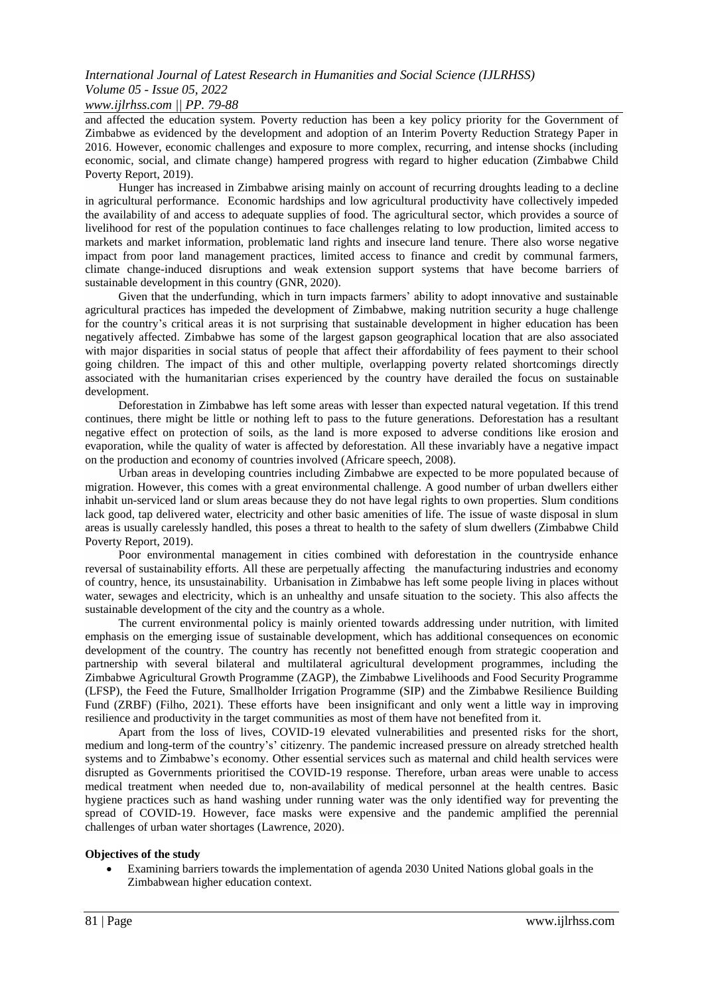### *www.ijlrhss.com || PP. 79-88*

and affected the education system. Poverty reduction has been a key policy priority for the Government of Zimbabwe as evidenced by the development and adoption of an Interim Poverty Reduction Strategy Paper in 2016. However, economic challenges and exposure to more complex, recurring, and intense shocks (including economic, social, and climate change) hampered progress with regard to higher education (Zimbabwe Child Poverty Report, 2019).

Hunger has increased in Zimbabwe arising mainly on account of recurring droughts leading to a decline in agricultural performance. Economic hardships and low agricultural productivity have collectively impeded the availability of and access to adequate supplies of food. The agricultural sector, which provides a source of livelihood for rest of the population continues to face challenges relating to low production, limited access to markets and market information, problematic land rights and insecure land tenure. There also worse negative impact from poor land management practices, limited access to finance and credit by communal farmers, climate change-induced disruptions and weak extension support systems that have become barriers of sustainable development in this country (GNR, 2020).

Given that the underfunding, which in turn impacts farmers' ability to adopt innovative and sustainable agricultural practices has impeded the development of Zimbabwe, making nutrition security a huge challenge for the country's critical areas it is not surprising that sustainable development in higher education has been negatively affected. Zimbabwe has some of the largest gapson geographical location that are also associated with major disparities in social status of people that affect their affordability of fees payment to their school going children. The impact of this and other multiple, overlapping poverty related shortcomings directly associated with the humanitarian crises experienced by the country have derailed the focus on sustainable development.

Deforestation in Zimbabwe has left some areas with lesser than expected natural vegetation. If this trend continues, there might be little or nothing left to pass to the future generations. Deforestation has a resultant negative effect on protection of soils, as the land is more exposed to adverse conditions like erosion and evaporation, while the quality of water is affected by deforestation. All these invariably have a negative impact on the production and economy of countries involved (Africare speech, 2008).

Urban areas in developing countries including Zimbabwe are expected to be more populated because of migration. However, this comes with a great environmental challenge. A good number of urban dwellers either inhabit un-serviced land or slum areas because they do not have legal rights to own properties. Slum conditions lack good, tap delivered water, electricity and other basic amenities of life. The issue of waste disposal in slum areas is usually carelessly handled, this poses a threat to health to the safety of slum dwellers (Zimbabwe Child Poverty Report, 2019).

Poor environmental management in cities combined with deforestation in the countryside enhance reversal of sustainability efforts. All these are perpetually affecting the manufacturing industries and economy of country, hence, its unsustainability. Urbanisation in Zimbabwe has left some people living in places without water, sewages and electricity, which is an unhealthy and unsafe situation to the society. This also affects the sustainable development of the city and the country as a whole.

The current environmental policy is mainly oriented towards addressing under nutrition, with limited emphasis on the emerging issue of sustainable development, which has additional consequences on economic development of the country. The country has recently not benefitted enough from strategic cooperation and partnership with several bilateral and multilateral agricultural development programmes, including the Zimbabwe Agricultural Growth Programme (ZAGP), the Zimbabwe Livelihoods and Food Security Programme (LFSP), the Feed the Future, Smallholder Irrigation Programme (SIP) and the Zimbabwe Resilience Building Fund (ZRBF) (Filho, 2021). These efforts have been insignificant and only went a little way in improving resilience and productivity in the target communities as most of them have not benefited from it.

Apart from the loss of lives, COVID-19 elevated vulnerabilities and presented risks for the short, medium and long-term of the country's' citizenry. The pandemic increased pressure on already stretched health systems and to Zimbabwe's economy. Other essential services such as maternal and child health services were disrupted as Governments prioritised the COVID-19 response. Therefore, urban areas were unable to access medical treatment when needed due to, non-availability of medical personnel at the health centres. Basic hygiene practices such as hand washing under running water was the only identified way for preventing the spread of COVID-19. However, face masks were expensive and the pandemic amplified the perennial challenges of urban water shortages (Lawrence, 2020).

#### **Objectives of the study**

 Examining barriers towards the implementation of agenda 2030 United Nations global goals in the Zimbabwean higher education context.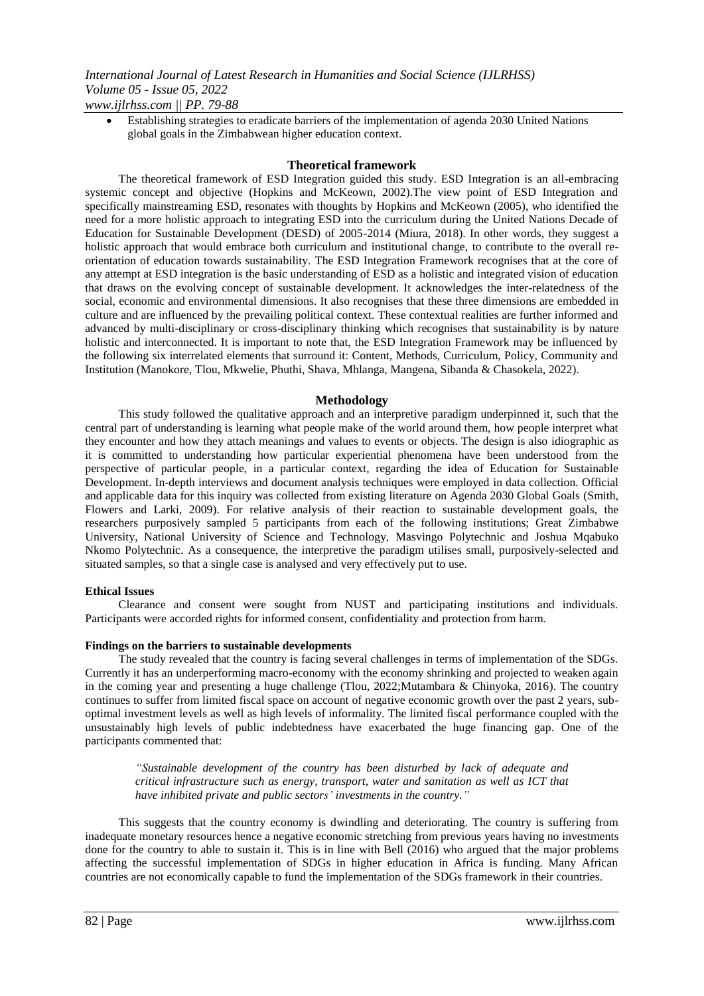Establishing strategies to eradicate barriers of the implementation of agenda 2030 United Nations global goals in the Zimbabwean higher education context.

### **Theoretical framework**

The theoretical framework of ESD Integration guided this study. ESD Integration is an all-embracing systemic concept and objective (Hopkins and McKeown, 2002).The view point of ESD Integration and specifically mainstreaming ESD, resonates with thoughts by Hopkins and McKeown (2005), who identified the need for a more holistic approach to integrating ESD into the curriculum during the United Nations Decade of Education for Sustainable Development (DESD) of 2005-2014 (Miura, 2018). In other words, they suggest a holistic approach that would embrace both curriculum and institutional change, to contribute to the overall reorientation of education towards sustainability. The ESD Integration Framework recognises that at the core of any attempt at ESD integration is the basic understanding of ESD as a holistic and integrated vision of education that draws on the evolving concept of sustainable development. It acknowledges the inter-relatedness of the social, economic and environmental dimensions. It also recognises that these three dimensions are embedded in culture and are influenced by the prevailing political context. These contextual realities are further informed and advanced by multi-disciplinary or cross-disciplinary thinking which recognises that sustainability is by nature holistic and interconnected. It is important to note that, the ESD Integration Framework may be influenced by the following six interrelated elements that surround it: Content, Methods, Curriculum, Policy, Community and Institution (Manokore, Tlou, Mkwelie, Phuthi, Shava, Mhlanga, Mangena, Sibanda & Chasokela, 2022).

### **Methodology**

This study followed the qualitative approach and an interpretive paradigm underpinned it, such that the central part of understanding is learning what people make of the world around them, how people interpret what they encounter and how they attach meanings and values to events or objects. The design is also idiographic as it is committed to understanding how particular experiential phenomena have been understood from the perspective of particular people, in a particular context, regarding the idea of Education for Sustainable Development. In-depth interviews and document analysis techniques were employed in data collection. Official and applicable data for this inquiry was collected from existing literature on Agenda 2030 Global Goals (Smith, Flowers and Larki, 2009). For relative analysis of their reaction to sustainable development goals, the researchers purposively sampled 5 participants from each of the following institutions; Great Zimbabwe University, National University of Science and Technology, Masvingo Polytechnic and Joshua Mqabuko Nkomo Polytechnic. As a consequence, the interpretive the paradigm utilises small, purposively-selected and situated samples, so that a single case is analysed and very effectively put to use.

#### **Ethical Issues**

Clearance and consent were sought from NUST and participating institutions and individuals. Participants were accorded rights for informed consent, confidentiality and protection from harm.

#### **Findings on the barriers to sustainable developments**

The study revealed that the country is facing several challenges in terms of implementation of the SDGs. Currently it has an underperforming macro-economy with the economy shrinking and projected to weaken again in the coming year and presenting a huge challenge (Tlou, 2022;Mutambara & Chinyoka, 2016). The country continues to suffer from limited fiscal space on account of negative economic growth over the past 2 years, suboptimal investment levels as well as high levels of informality. The limited fiscal performance coupled with the unsustainably high levels of public indebtedness have exacerbated the huge financing gap. One of the participants commented that:

*―Sustainable development of the country has been disturbed by lack of adequate and critical infrastructure such as energy, transport, water and sanitation as well as ICT that have inhibited private and public sectors' investments in the country.‖*

This suggests that the country economy is dwindling and deteriorating. The country is suffering from inadequate monetary resources hence a negative economic stretching from previous years having no investments done for the country to able to sustain it. This is in line with Bell (2016) who argued that the major problems affecting the successful implementation of SDGs in higher education in Africa is funding. Many African countries are not economically capable to fund the implementation of the SDGs framework in their countries.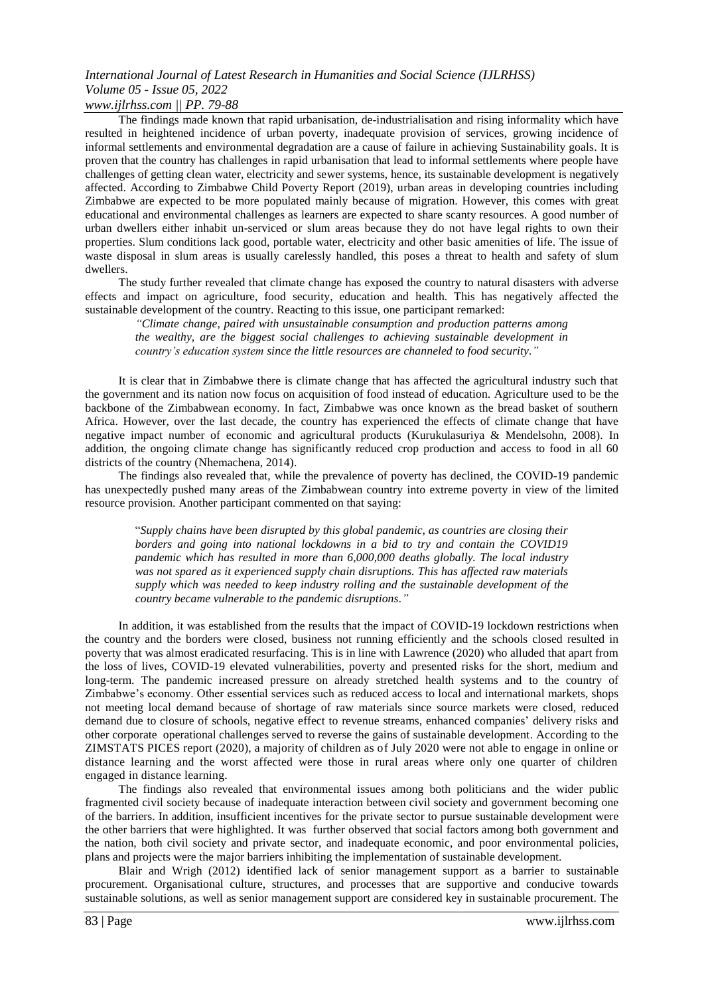## *www.ijlrhss.com || PP. 79-88*

The findings made known that rapid urbanisation, de-industrialisation and rising informality which have resulted in heightened incidence of urban poverty, inadequate provision of services, growing incidence of informal settlements and environmental degradation are a cause of failure in achieving Sustainability goals. It is proven that the country has challenges in rapid urbanisation that lead to informal settlements where people have challenges of getting clean water, electricity and sewer systems, hence, its sustainable development is negatively affected. According to Zimbabwe Child Poverty Report (2019), urban areas in developing countries including Zimbabwe are expected to be more populated mainly because of migration. However, this comes with great educational and environmental challenges as learners are expected to share scanty resources. A good number of urban dwellers either inhabit un-serviced or slum areas because they do not have legal rights to own their properties. Slum conditions lack good, portable water, electricity and other basic amenities of life. The issue of waste disposal in slum areas is usually carelessly handled, this poses a threat to health and safety of slum dwellers.

The study further revealed that climate change has exposed the country to natural disasters with adverse effects and impact on agriculture, food security, education and health. This has negatively affected the sustainable development of the country. Reacting to this issue, one participant remarked:

*―Climate change, paired with unsustainable consumption and production patterns among the wealthy, are the biggest social challenges to achieving sustainable development in country's education system since the little resources are channeled to food security.‖*

It is clear that in Zimbabwe there is climate change that has affected the agricultural industry such that the government and its nation now focus on acquisition of food instead of education. Agriculture used to be the backbone of the Zimbabwean economy. In fact, Zimbabwe was once known as the bread basket of southern Africa. However, over the last decade, the country has experienced the effects of climate change that have negative impact number of economic and agricultural products (Kurukulasuriya & Mendelsohn, 2008). In addition, the ongoing climate change has significantly reduced crop production and access to food in all 60 districts of the country (Nhemachena, 2014).

The findings also revealed that, while the prevalence of poverty has declined, the COVID-19 pandemic has unexpectedly pushed many areas of the Zimbabwean country into extreme poverty in view of the limited resource provision. Another participant commented on that saying:

"*Supply chains have been disrupted by this global pandemic, as countries are closing their borders and going into national lockdowns in a bid to try and contain the COVID19 pandemic which has resulted in more than 6,000,000 deaths globally. The local industry was not spared as it experienced supply chain disruptions. This has affected raw materials supply which was needed to keep industry rolling and the sustainable development of the country became vulnerable to the pandemic disruptions.‖*

In addition, it was established from the results that the impact of COVID-19 lockdown restrictions when the country and the borders were closed, business not running efficiently and the schools closed resulted in poverty that was almost eradicated resurfacing. This is in line with Lawrence (2020) who alluded that apart from the loss of lives, COVID-19 elevated vulnerabilities, poverty and presented risks for the short, medium and long-term. The pandemic increased pressure on already stretched health systems and to the country of Zimbabwe's economy. Other essential services such as reduced access to local and international markets, shops not meeting local demand because of shortage of raw materials since source markets were closed, reduced demand due to closure of schools, negative effect to revenue streams, enhanced companies' delivery risks and other corporate operational challenges served to reverse the gains of sustainable development. According to the ZIMSTATS PICES report (2020), a majority of children as of July 2020 were not able to engage in online or distance learning and the worst affected were those in rural areas where only one quarter of children engaged in distance learning.

The findings also revealed that environmental issues among both politicians and the wider public fragmented civil society because of inadequate interaction between civil society and government becoming one of the barriers. In addition, insufficient incentives for the private sector to pursue sustainable development were the other barriers that were highlighted. It was further observed that social factors among both government and the nation, both civil society and private sector, and inadequate economic, and poor environmental policies, plans and projects were the major barriers inhibiting the implementation of sustainable development.

Blair and Wrigh (2012) identified lack of senior management support as a barrier to sustainable procurement. Organisational culture, structures, and processes that are supportive and conducive towards sustainable solutions, as well as senior management support are considered key in sustainable procurement. The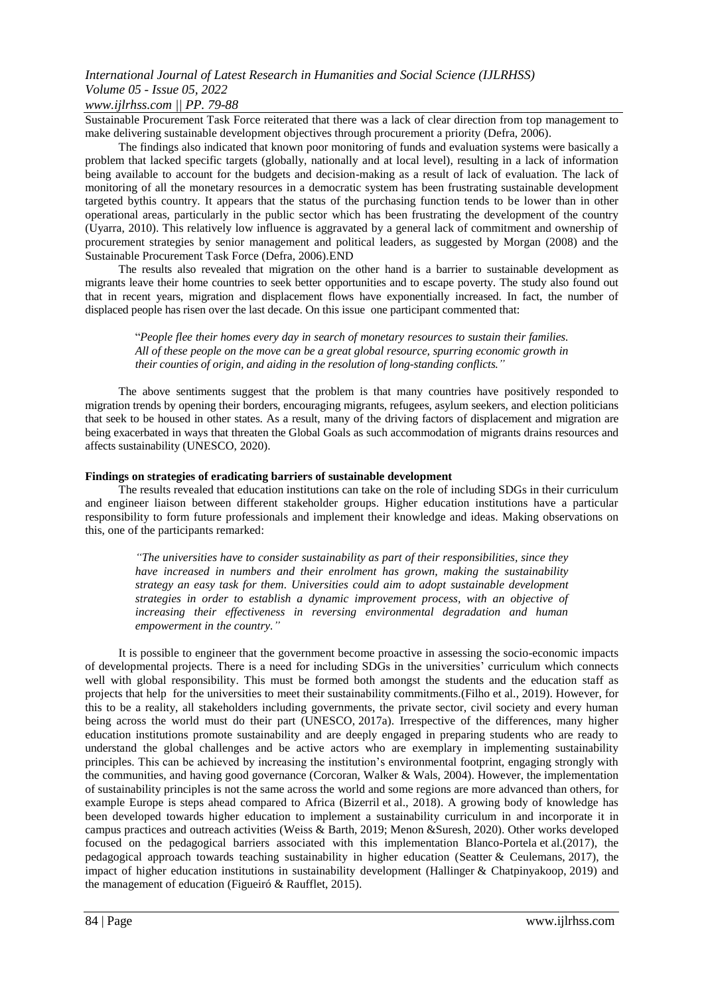## *www.ijlrhss.com || PP. 79-88*

Sustainable Procurement Task Force reiterated that there was a lack of clear direction from top management to make delivering sustainable development objectives through procurement a priority (Defra, 2006).

The findings also indicated that known poor monitoring of funds and evaluation systems were basically a problem that lacked specific targets (globally, nationally and at local level), resulting in a lack of information being available to account for the budgets and decision-making as a result of lack of evaluation. The lack of monitoring of all the monetary resources in a democratic system has been frustrating sustainable development targeted bythis country. It appears that the status of the purchasing function tends to be lower than in other operational areas, particularly in the public sector which has been frustrating the development of the country (Uyarra, 2010). This relatively low influence is aggravated by a general lack of commitment and ownership of procurement strategies by senior management and political leaders, as suggested by Morgan (2008) and the Sustainable Procurement Task Force (Defra, 2006).END

The results also revealed that migration on the other hand is a barrier to sustainable development as migrants leave their home countries to seek better opportunities and to escape poverty. The study also found out that in recent years, migration and displacement flows have exponentially increased. In fact, the number of displaced people has risen over the last decade. On this issue one participant commented that:

"*People flee their homes every day in search of monetary resources to sustain their families. All of these people on the move can be a great global resource, spurring economic growth in their counties of origin, and aiding in the resolution of long-standing conflicts.‖*

The above sentiments suggest that the problem is that many countries have positively responded to migration trends by opening their borders, encouraging migrants, refugees, asylum seekers, and election politicians that seek to be housed in other states. As a result, many of the driving factors of displacement and migration are being exacerbated in ways that threaten the Global Goals as such accommodation of migrants drains resources and affects sustainability (UNESCO, 2020).

### **Findings on strategies of eradicating barriers of sustainable development**

The results revealed that education institutions can take on the role of including SDGs in their curriculum and engineer liaison between different stakeholder groups. Higher education institutions have a particular responsibility to form future professionals and implement their knowledge and ideas. Making observations on this, one of the participants remarked:

*―The universities have to consider sustainability as part of their responsibilities, since they have increased in numbers and their enrolment has grown, making the sustainability strategy an easy task for them. Universities could aim to adopt sustainable development strategies in order to establish a dynamic improvement process, with an objective of increasing their effectiveness in reversing environmental degradation and human empowerment in the country.*"

It is possible to engineer that the government become proactive in assessing the socio-economic impacts of developmental projects. There is a need for including SDGs in the universities' curriculum which connects well with global responsibility. This must be formed both amongst the students and the education staff as projects that help for the universities to meet their sustainability commitments.(Filho et al., 2019). However, for this to be a reality, all stakeholders including governments, the private sector, civil society and every human being across the world must do their part (UNESCO, 2017a). Irrespective of the differences, many higher education institutions promote sustainability and are deeply engaged in preparing students who are ready to understand the global challenges and be active actors who are exemplary in implementing sustainability principles. This can be achieved by increasing the institution's environmental footprint, engaging strongly with the communities, and having good governance (Corcoran, Walker & Wals, 2004). However, the implementation of sustainability principles is not the same across the world and some regions are more advanced than others, for example Europe is steps ahead compared to Africa (Bizerril et al., 2018). A growing body of knowledge has been developed towards higher education to implement a sustainability curriculum in and incorporate it in campus practices and outreach activities (Weiss & Barth, 2019; Menon &Suresh, 2020). Other works developed focused on the pedagogical barriers associated with this implementation Blanco-Portela et al.(2017), the pedagogical approach towards teaching sustainability in higher education (Seatter & Ceulemans, 2017), the impact of higher education institutions in sustainability development (Hallinger & Chatpinyakoop, 2019) and the management of education (Figueiró & Raufflet, 2015).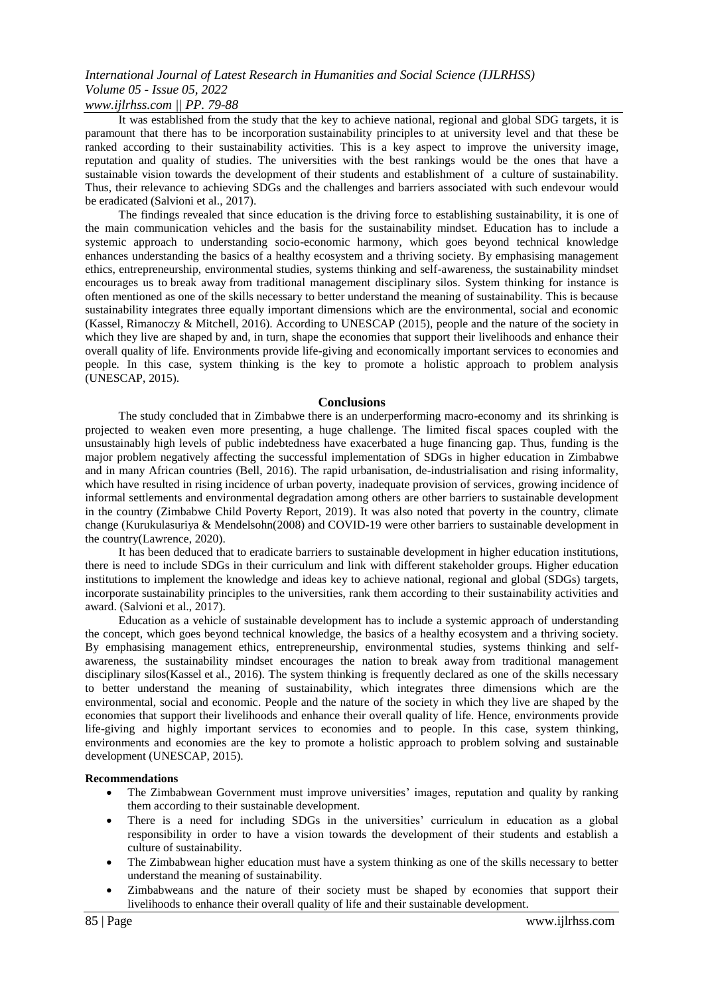*www.ijlrhss.com || PP. 79-88*

It was established from the study that the key to achieve national, regional and global SDG targets, it is paramount that there has to be incorporation sustainability principles to at university level and that these be ranked according to their sustainability activities. This is a key aspect to improve the university image, reputation and quality of studies. The universities with the best rankings would be the ones that have a sustainable vision towards the development of their students and establishment of a culture of sustainability. Thus, their relevance to achieving SDGs and the challenges and barriers associated with such endevour would be eradicated (Salvioni et al., 2017).

The findings revealed that since education is the driving force to establishing sustainability, it is one of the main communication vehicles and the basis for the sustainability mindset. Education has to include a systemic approach to understanding socio-economic harmony, which goes beyond technical knowledge enhances understanding the basics of a healthy ecosystem and a thriving society*.* By emphasising management ethics, entrepreneurship, environmental studies, systems thinking and self-awareness, the sustainability mindset encourages us to break away from traditional management disciplinary silos. System thinking for instance is often mentioned as one of the skills necessary to better understand the meaning of sustainability. This is because sustainability integrates three equally important dimensions which are the environmental, social and economic (Kassel, Rimanoczy & Mitchell, 2016). According to UNESCAP (2015), people and the nature of the society in which they live are shaped by and, in turn, shape the economies that support their livelihoods and enhance their overall quality of life. Environments provide life-giving and economically important services to economies and people*.* In this case, system thinking is the key to promote a holistic approach to problem analysis (UNESCAP, 2015).

### **Conclusions**

The study concluded that in Zimbabwe there is an underperforming macro-economy and its shrinking is projected to weaken even more presenting, a huge challenge. The limited fiscal spaces coupled with the unsustainably high levels of public indebtedness have exacerbated a huge financing gap. Thus, funding is the major problem negatively affecting the successful implementation of SDGs in higher education in Zimbabwe and in many African countries (Bell, 2016). The rapid urbanisation, de-industrialisation and rising informality, which have resulted in rising incidence of urban poverty, inadequate provision of services, growing incidence of informal settlements and environmental degradation among others are other barriers to sustainable development in the country (Zimbabwe Child Poverty Report, 2019). It was also noted that poverty in the country, climate change (Kurukulasuriya & Mendelsohn(2008) and COVID-19 were other barriers to sustainable development in the country(Lawrence, 2020).

It has been deduced that to eradicate barriers to sustainable development in higher education institutions, there is need to include SDGs in their curriculum and link with different stakeholder groups. Higher education institutions to implement the knowledge and ideas key to achieve national, regional and global (SDGs) targets, incorporate sustainability principles to the universities, rank them according to their sustainability activities and award. (Salvioni et al., 2017).

Education as a vehicle of sustainable development has to include a systemic approach of understanding the concept, which goes beyond technical knowledge, the basics of a healthy ecosystem and a thriving society. By emphasising management ethics, entrepreneurship, environmental studies, systems thinking and selfawareness, the sustainability mindset encourages the nation to break away from traditional management disciplinary silos(Kassel et al., 2016). The system thinking is frequently declared as one of the skills necessary to better understand the meaning of sustainability, which integrates three dimensions which are the environmental, social and economic. People and the nature of the society in which they live are shaped by the economies that support their livelihoods and enhance their overall quality of life. Hence, environments provide life-giving and highly important services to economies and to people. In this case, system thinking, environments and economies are the key to promote a holistic approach to problem solving and sustainable development (UNESCAP, 2015).

#### **Recommendations**

- The Zimbabwean Government must improve universities' images, reputation and quality by ranking them according to their sustainable development.
- There is a need for including SDGs in the universities' curriculum in education as a global responsibility in order to have a vision towards the development of their students and establish a culture of sustainability.
- The Zimbabwean higher education must have a system thinking as one of the skills necessary to better understand the meaning of sustainability.
- Zimbabweans and the nature of their society must be shaped by economies that support their livelihoods to enhance their overall quality of life and their sustainable development.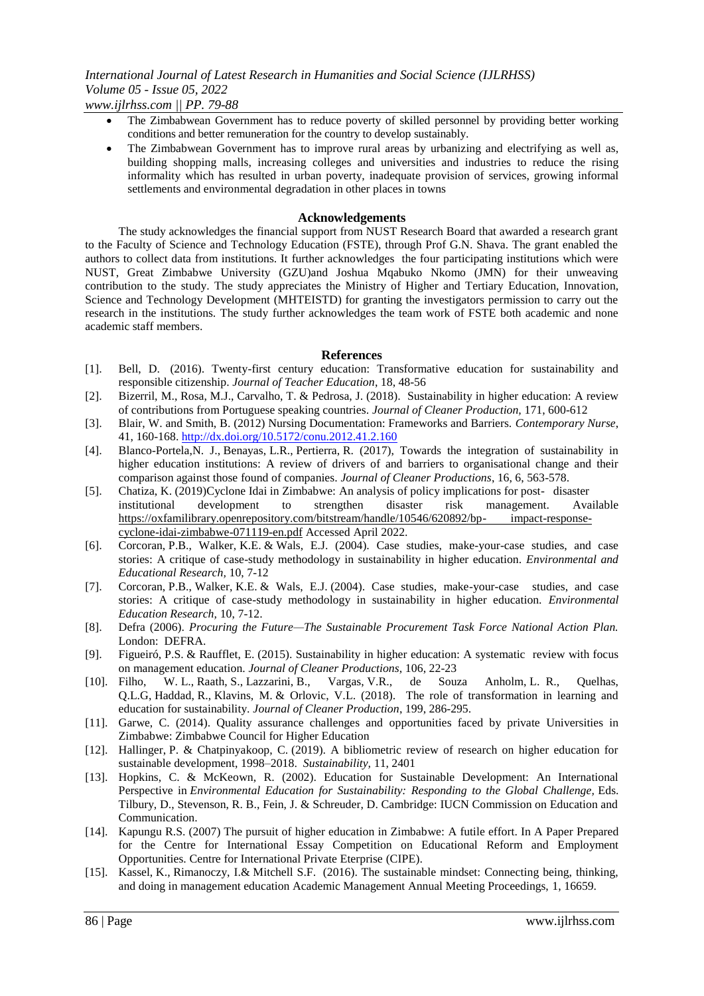- The Zimbabwean Government has to reduce poverty of skilled personnel by providing better working conditions and better remuneration for the country to develop sustainably.
- The Zimbabwean Government has to improve rural areas by urbanizing and electrifying as well as, building shopping malls, increasing colleges and universities and industries to reduce the rising informality which has resulted in urban poverty, inadequate provision of services, growing informal settlements and environmental degradation in other places in towns

### **Acknowledgements**

The study acknowledges the financial support from NUST Research Board that awarded a research grant to the Faculty of Science and Technology Education (FSTE), through Prof G.N. Shava. The grant enabled the authors to collect data from institutions. It further acknowledges the four participating institutions which were NUST, Great Zimbabwe University (GZU)and Joshua Mqabuko Nkomo (JMN) for their unweaving contribution to the study. The study appreciates the Ministry of Higher and Tertiary Education, Innovation, Science and Technology Development (MHTEISTD) for granting the investigators permission to carry out the research in the institutions. The study further acknowledges the team work of FSTE both academic and none academic staff members.

## **References**

- [1]. Bell, D. (2016). Twenty-first century education: Transformative education for sustainability and responsible citizenship. *Journal of Teacher Education*, 18, 48-56
- [2]. Bizerril, M., Rosa, M.J., Carvalho, T. & Pedrosa, J. (2018). Sustainability in higher education: A review of contributions from Portuguese speaking countries. *Journal of Cleaner Production,* 171, 600-612
- [3]. Blair, W. and Smith, B. (2012) Nursing Documentation: Frameworks and Barriers. *Contemporary Nurse*, 41, 160-168[. http://dx.doi.org/10.5172/conu.2012.41.2.160](http://dx.doi.org/10.5172/conu.2012.41.2.160)
- [4]. Blanco-Portela,N. J., Benayas, L.R., Pertierra, R. (2017), Towards the integration of sustainability in higher education institutions: A review of drivers of and barriers to organisational change and their comparison against those found of companies. *Journal of Cleaner Productions*, 16, 6, 563-578.
- [5]. Chatiza, K. (2019)Cyclone Idai in Zimbabwe: An analysis of policy implications for post- disaster institutional development to strengthen disaster risk management. Available [https://oxfamilibrary.openrepository.com/bitstream/handle/10546/620892/bp-](https://oxfamilibrary.openrepository.com/bitstream/handle/10546/620892/bp-%09impact-response-cyclone-idai-zimbabwe-071119-en.pdf) impact-response[cyclone-idai-zimbabwe-071119-en.pdf](https://oxfamilibrary.openrepository.com/bitstream/handle/10546/620892/bp-%09impact-response-cyclone-idai-zimbabwe-071119-en.pdf) Accessed April 2022.
- [6]. Corcoran, P.B., Walker, K.E. & Wals, E.J. (2004). Case studies, make-your-case studies, and case stories: A critique of case-study methodology in sustainability in higher education. *Environmental and Educational Research,* 10, 7-12
- [7]. Corcoran, P.B., Walker, K.E. & Wals, E.J. (2004). Case studies, make-your-case studies, and case stories: A critique of case-study methodology in sustainability in higher education. *Environmental Education Research,* 10, 7-12.
- [8]. Defra (2006). *Procuring the Future—The Sustainable Procurement Task Force National Action Plan.* London: DEFRA.
- [9]. Figueiró, P.S. & Raufflet, E. (2015). Sustainability in higher education: A systematic review with focus on management education. *Journal of Cleaner Productions*, 106, 22-23
- [10]. Filho, W. L., Raath, S., Lazzarini, B., Vargas, V.R., de Souza Anholm, L. R., Quelhas, Q.L.G, Haddad, R., Klavins, M. & Orlovic, V.L. (2018). The role of transformation in learning and education for sustainability. *Journal of Cleaner Production*, 199, 286-295.
- [11]. Garwe, C. (2014). Quality assurance challenges and opportunities faced by private Universities in Zimbabwe: Zimbabwe Council for Higher Education
- [12]. Hallinger, P. & Chatpinyakoop, C. (2019). A bibliometric review of research on higher education for sustainable development, 1998–2018. *Sustainability,* 11, 2401
- [13]. Hopkins, C. & McKeown, R. (2002). Education for Sustainable Development: An International Perspective in *Environmental Education for Sustainability: Responding to the Global Challenge,* Eds. Tilbury, D., Stevenson, R. B., Fein, J. & Schreuder, D. Cambridge: IUCN Commission on Education and Communication.
- [14]. Kapungu R.S. (2007) The pursuit of higher education in Zimbabwe: A futile effort. In A Paper Prepared for the Centre for International Essay Competition on Educational Reform and Employment Opportunities. Centre for International Private Eterprise (CIPE).
- [15]. Kassel, K., Rimanoczy, I.& Mitchell S.F. (2016). The sustainable mindset: Connecting being, thinking, and doing in management education Academic Management Annual Meeting Proceedings, 1, 16659.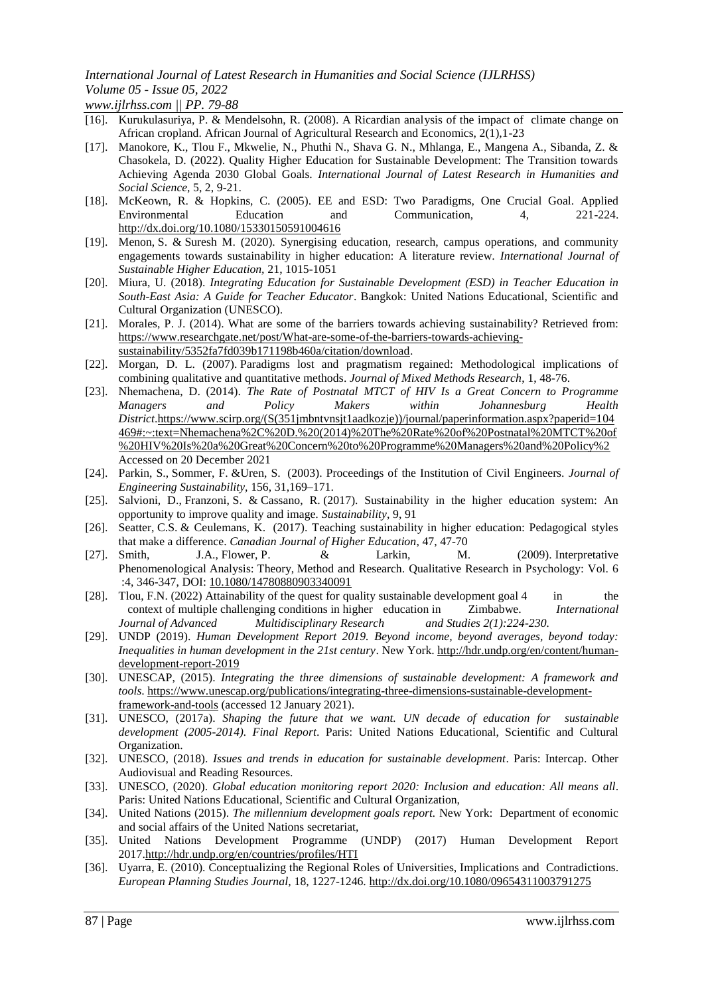*www.ijlrhss.com || PP. 79-88*

- [16]. Kurukulasuriya, P. & Mendelsohn, R. (2008). A Ricardian analysis of the impact of climate change on African cropland. African Journal of Agricultural Research and Economics, 2(1),1-23
- [17]. Manokore, K., Tlou F., Mkwelie, N., Phuthi N., Shava G. N., Mhlanga, E., Mangena A., Sibanda, Z. & Chasokela, D. (2022). Quality Higher Education for Sustainable Development: The Transition towards Achieving Agenda 2030 Global Goals. *International Journal of Latest Research in Humanities and Social Science*, 5, 2, 9-21.
- [18]. McKeown, R. & Hopkins, C. (2005). EE and ESD: Two Paradigms, One Crucial Goal. Applied Environmental Education and Communication, 4, 221-224. <http://dx.doi.org/10.1080/15330150591004616>
- [19]. Menon, S. & Suresh M. (2020). Synergising education, research, campus operations, and community engagements towards sustainability in higher education: A literature review. *International Journal of Sustainable Higher Education,* 21, 1015-1051
- [20]. Miura, U. (2018). *Integrating Education for Sustainable Development (ESD) in Teacher Education in South-East Asia: A Guide for Teacher Educator*. Bangkok: United Nations Educational, Scientific and Cultural Organization (UNESCO).
- [21]. Morales, P. J. (2014). What are some of the barriers towards achieving sustainability? Retrieved from: [https://www.researchgate.net/post/What-are-some-of-the-barriers-towards-achieving](https://www.researchgate.net/post/What-are-some-of-the-barriers-towards-achieving-sustainability/5352fa7fd039b171198b460a/citation/download)[sustainability/5352fa7fd039b171198b460a/citation/download.](https://www.researchgate.net/post/What-are-some-of-the-barriers-towards-achieving-sustainability/5352fa7fd039b171198b460a/citation/download)
- [22]. Morgan, D. L. (2007). Paradigms lost and pragmatism regained: Methodological implications of combining qualitative and quantitative methods. *Journal of Mixed Methods Research*, 1, 48-76.
- [23]. Nhemachena, D. (2014). *The Rate of Postnatal MTCT of HIV Is a Great Concern to Programme Managers and Policy Makers within Johannesburg Health District*[.https://www.scirp.org/\(S\(351jmbntvnsjt1aadkozje\)\)/journal/paperinformation.aspx?paperid=104](https://www.scirp.org/(S(351jmbntvnsjt1aadkozje))/journal/paperinformation.aspx?paperid=104469#:~:text=Nhemachena%2C%20D.%20(2014)%20The%20Rate%20of%20Postnatal%20MTCT%20of%20HIV%20Is%20a%20Great%20Concern%20to%20Programme%20Managers%20and%20Policy%2) [469#:~:text=Nhemachena%2C%20D.%20\(2014\)%20The%20Rate%20of%20Postnatal%20MTCT%20of](https://www.scirp.org/(S(351jmbntvnsjt1aadkozje))/journal/paperinformation.aspx?paperid=104469#:~:text=Nhemachena%2C%20D.%20(2014)%20The%20Rate%20of%20Postnatal%20MTCT%20of%20HIV%20Is%20a%20Great%20Concern%20to%20Programme%20Managers%20and%20Policy%2) [%20HIV%20Is%20a%20Great%20Concern%20to%20Programme%20Managers%20and%20Policy%2](https://www.scirp.org/(S(351jmbntvnsjt1aadkozje))/journal/paperinformation.aspx?paperid=104469#:~:text=Nhemachena%2C%20D.%20(2014)%20The%20Rate%20of%20Postnatal%20MTCT%20of%20HIV%20Is%20a%20Great%20Concern%20to%20Programme%20Managers%20and%20Policy%2)  Accessed on 20 December 2021
- [24]. Parkin, S., Sommer, F. &Uren, S. (2003). Proceedings of the Institution of Civil Engineers. *Journal of Engineering Sustainability,* 156, 31,169–171.
- [25]. Salvioni, D., Franzoni, S. & Cassano, R. (2017). Sustainability in the higher education system: An opportunity to improve quality and image*. Sustainability*, 9, 91
- [26]. Seatter, C.S. & Ceulemans, K. (2017). Teaching sustainability in higher education: Pedagogical styles that make a difference. *Canadian Journal of Higher Education*, 47, 47-70
- [27]. Smith, J.A., Flower, P. & Larkin, M. (2009). Interpretative Phenomenological Analysis: Theory, Method and Research. Qualitative Research in Psychology: Vol. 6 :4, 346-347, DOI: [10.1080/14780880903340091](https://doi.org/10.1080/14780880903340091)
- [28]. Tlou, F.N. (2022) Attainability of the quest for quality sustainable development goal 4 in the context of multiple challenging conditions in higher education in Zimbabwe. *International Journal of Advanced Multidisciplinary Research and Studies 2(1):224-230.*
- [29]. UNDP (2019). *Human Development Report 2019. Beyond income, beyond averages, beyond today: Inequalities in human development in the 21st century*. New York. [http://hdr.undp.org/en/content/human](https://hdr.undp.org/en/content/human-development-report-2019)[development-report-2019](https://hdr.undp.org/en/content/human-development-report-2019)
- [30]. UNESCAP, (2015). *Integrating the three dimensions of sustainable development: A framework and tools*. [https://www.unescap.org/publications/integrating-three-dimensions-sustainable-development](https://www.unescap.org/publications/integrating-three-dimensions-sustainable-development-framework-and-tools)[framework-and-tools](https://www.unescap.org/publications/integrating-three-dimensions-sustainable-development-framework-and-tools) (accessed 12 January 2021).
- [31]. UNESCO, (2017a). *Shaping the future that we want. UN decade of education for sustainable development (2005-2014). Final Report*. Paris: United Nations Educational, Scientific and Cultural Organization.
- [32]. UNESCO, (2018). *Issues and trends in education for sustainable development*. Paris: Intercap. Other Audiovisual and Reading Resources.
- [33]. UNESCO, (2020). *Global education monitoring report 2020: Inclusion and education: All means all*. Paris: United Nations Educational, Scientific and Cultural Organization,
- [34]. United Nations (2015). *The millennium development goals report.* New York: Department of economic and social affairs of the United Nations secretariat,
- [35]. United Nations Development Programme (UNDP) (2017) Human Development Report 2017[.http://hdr.undp.org/en/countries/profiles/HTI](http://hdr.undp.org/en/countries/profiles/HTI)
- [36]. Uyarra, E. (2010). Conceptualizing the Regional Roles of Universities, Implications and Contradictions. *European Planning Studies Journal,* 18, 1227-1246.<http://dx.doi.org/10.1080/09654311003791275>